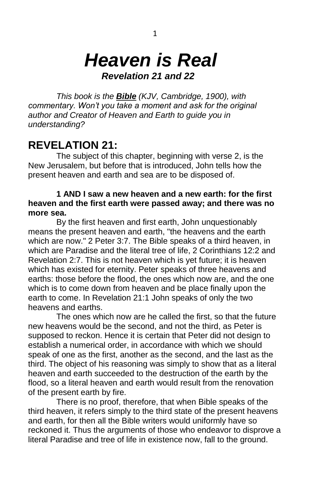# *Heaven is Real*

 *Revelation 21 and 22*

*This book is the Bible (KJV, Cambridge, 1900), with commentary. Won't you take a moment and ask for the original author and Creator of Heaven and Earth to guide you in understanding?*

# **REVELATION 21:**

The subject of this chapter, beginning with verse 2, is the New Jerusalem, but before that is introduced, John tells how the present heaven and earth and sea are to be disposed of.

#### **1 AND I saw a new heaven and a new earth: for the first heaven and the first earth were passed away; and there was no more sea.**

By the first heaven and first earth, John unquestionably means the present heaven and earth, "the heavens and the earth which are now." 2 Peter 3:7. The Bible speaks of a third heaven, in which are Paradise and the literal tree of life, 2 Corinthians 12:2 and Revelation 2:7. This is not heaven which is yet future; it is heaven which has existed for eternity. Peter speaks of three heavens and earths: those before the flood, the ones which now are, and the one which is to come down from heaven and be place finally upon the earth to come. In Revelation 21:1 John speaks of only the two heavens and earths.

The ones which now are he called the first, so that the future new heavens would be the second, and not the third, as Peter is supposed to reckon. Hence it is certain that Peter did not design to establish a numerical order, in accordance with which we should speak of one as the first, another as the second, and the last as the third. The object of his reasoning was simply to show that as a literal heaven and earth succeeded to the destruction of the earth by the flood, so a literal heaven and earth would result from the renovation of the present earth by fire.

There is no proof, therefore, that when Bible speaks of the third heaven, it refers simply to the third state of the present heavens and earth, for then all the Bible writers would uniformly have so reckoned it. Thus the arguments of those who endeavor to disprove a literal Paradise and tree of life in existence now, fall to the ground.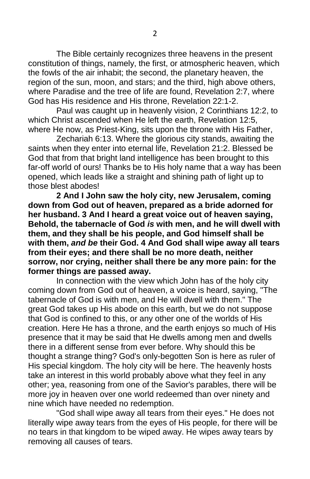The Bible certainly recognizes three heavens in the present constitution of things, namely, the first, or atmospheric heaven, which the fowls of the air inhabit; the second, the planetary heaven, the region of the sun, moon, and stars; and the third, high above others, where Paradise and the tree of life are found, Revelation 2:7, where God has His residence and His throne, Revelation 22:1-2.

Paul was caught up in heavenly vision, 2 Corinthians 12:2, to which Christ ascended when He left the earth, Revelation 12:5, where He now, as Priest-King, sits upon the throne with His Father,

Zechariah 6:13. Where the glorious city stands, awaiting the saints when they enter into eternal life, Revelation 21:2. Blessed be God that from that bright land intelligence has been brought to this far-off world of ours! Thanks be to His holy name that a way has been opened, which leads like a straight and shining path of light up to those blest abodes!

**2 And I John saw the holy city, new Jerusalem, coming down from God out of heaven, prepared as a bride adorned for her husband. 3 And I heard a great voice out of heaven saying, Behold, the tabernacle of God** *is* **with men, and he will dwell with them, and they shall be his people, and God himself shall be with them,** *and be* **their God. 4 And God shall wipe away all tears from their eyes; and there shall be no more death, neither sorrow, nor crying, neither shall there be any more pain: for the former things are passed away.**

In connection with the view which John has of the holy city coming down from God out of heaven, a voice is heard, saying, "The tabernacle of God is with men, and He will dwell with them." The great God takes up His abode on this earth, but we do not suppose that God is confined to this, or any other one of the worlds of His creation. Here He has a throne, and the earth enjoys so much of His presence that it may be said that He dwells among men and dwells there in a different sense from ever before. Why should this be thought a strange thing? God's only-begotten Son is here as ruler of His special kingdom. The holy city will be here. The heavenly hosts take an interest in this world probably above what they feel in any other; yea, reasoning from one of the Savior's parables, there will be more joy in heaven over one world redeemed than over ninety and nine which have needed no redemption.

"God shall wipe away all tears from their eyes." He does not literally wipe away tears from the eyes of His people, for there will be no tears in that kingdom to be wiped away. He wipes away tears by removing all causes of tears.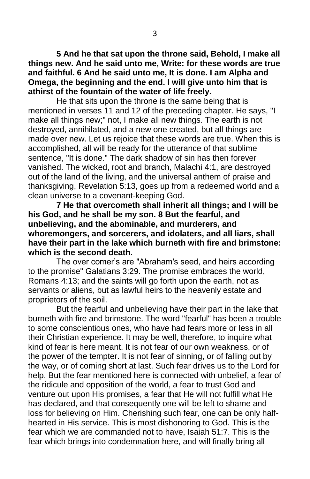**5 And he that sat upon the throne said, Behold, I make all things new. And he said unto me, Write: for these words are true and faithful. 6 And he said unto me, It is done. I am Alpha and Omega, the beginning and the end. I will give unto him that is athirst of the fountain of the water of life freely.**

He that sits upon the throne is the same being that is mentioned in verses 11 and 12 of the preceding chapter. He says, "I make all things new;" not, I make all new things. The earth is not destroyed, annihilated, and a new one created, but all things are made over new. Let us rejoice that these words are true. When this is accomplished, all will be ready for the utterance of that sublime sentence, "It is done." The dark shadow of sin has then forever vanished. The wicked, root and branch, Malachi 4:1, are destroyed out of the land of the living, and the universal anthem of praise and thanksgiving, Revelation 5:13, goes up from a redeemed world and a clean universe to a covenant-keeping God.

**7 He that overcometh shall inherit all things; and I will be his God, and he shall be my son. 8 But the fearful, and unbelieving, and the abominable, and murderers, and whoremongers, and sorcerers, and idolaters, and all liars, shall have their part in the lake which burneth with fire and brimstone: which is the second death.**

The over comer's are "Abraham's seed, and heirs according to the promise" Galatians 3:29. The promise embraces the world, Romans 4:13; and the saints will go forth upon the earth, not as servants or aliens, but as lawful heirs to the heavenly estate and proprietors of the soil.

But the fearful and unbelieving have their part in the lake that burneth with fire and brimstone. The word "fearful" has been a trouble to some conscientious ones, who have had fears more or less in all their Christian experience. It may be well, therefore, to inquire what kind of fear is here meant. It is not fear of our own weakness, or of the power of the tempter. It is not fear of sinning, or of falling out by the way, or of coming short at last. Such fear drives us to the Lord for help. But the fear mentioned here is connected with unbelief, a fear of the ridicule and opposition of the world, a fear to trust God and venture out upon His promises, a fear that He will not fulfill what He has declared, and that consequently one will be left to shame and loss for believing on Him. Cherishing such fear, one can be only halfhearted in His service. This is most dishonoring to God. This is the fear which we are commanded not to have, Isaiah 51:7. This is the fear which brings into condemnation here, and will finally bring all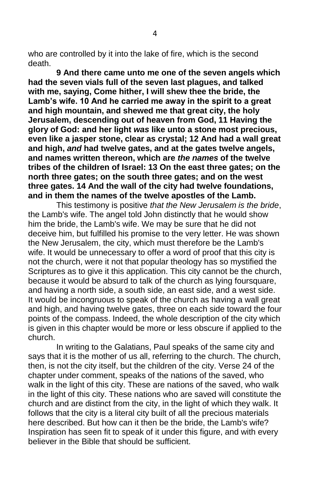who are controlled by it into the lake of fire, which is the second death.

**9 And there came unto me one of the seven angels which had the seven vials full of the seven last plagues, and talked with me, saying, Come hither, I will shew thee the bride, the Lamb's wife. 10 And he carried me away in the spirit to a great and high mountain, and shewed me that great city, the holy Jerusalem, descending out of heaven from God, 11 Having the glory of God: and her light** *was* **like unto a stone most precious, even like a jasper stone, clear as crystal; 12 And had a wall great and high,** *and* **had twelve gates, and at the gates twelve angels, and names written thereon, which are** *the names* **of the twelve tribes of the children of Israel: 13 On the east three gates; on the north three gates; on the south three gates; and on the west three gates. 14 And the wall of the city had twelve foundations, and in them the names of the twelve apostles of the Lamb.**

This testimony is positive *that the New Jerusalem is the bride*, the Lamb's wife. The angel told John distinctly that he would show him the bride, the Lamb's wife. We may be sure that he did not deceive him, but fulfilled his promise to the very letter. He was shown the New Jerusalem, the city, which must therefore be the Lamb's wife. It would be unnecessary to offer a word of proof that this city is not the church, were it not that popular theology has so mystified the Scriptures as to give it this application. This city cannot be the church, because it would be absurd to talk of the church as lying foursquare, and having a north side, a south side, an east side, and a west side. It would be incongruous to speak of the church as having a wall great and high, and having twelve gates, three on each side toward the four points of the compass. Indeed, the whole description of the city which is given in this chapter would be more or less obscure if applied to the church.

In writing to the Galatians, Paul speaks of the same city and says that it is the mother of us all, referring to the church. The church, then, is not the city itself, but the children of the city. Verse 24 of the chapter under comment, speaks of the nations of the saved, who walk in the light of this city. These are nations of the saved, who walk in the light of this city. These nations who are saved will constitute the church and are distinct from the city, in the light of which they walk. It follows that the city is a literal city built of all the precious materials here described. But how can it then be the bride, the Lamb's wife? Inspiration has seen fit to speak of it under this figure, and with every believer in the Bible that should be sufficient.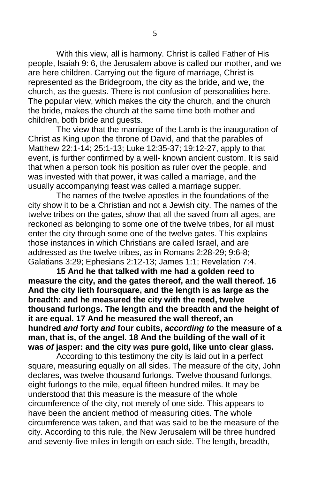With this view, all is harmony. Christ is called Father of His people, Isaiah 9: 6, the Jerusalem above is called our mother, and we are here children. Carrying out the figure of marriage, Christ is represented as the Bridegroom, the city as the bride, and we, the church, as the guests. There is not confusion of personalities here. The popular view, which makes the city the church, and the church the bride, makes the church at the same time both mother and children, both bride and guests.

The view that the marriage of the Lamb is the inauguration of Christ as King upon the throne of David, and that the parables of Matthew 22:1-14; 25:1-13; Luke 12:35-37; 19:12-27, apply to that event, is further confirmed by a well- known ancient custom. It is said that when a person took his position as ruler over the people, and was invested with that power, it was called a marriage, and the usually accompanying feast was called a marriage supper.

The names of the twelve apostles in the foundations of the city show it to be a Christian and not a Jewish city. The names of the twelve tribes on the gates, show that all the saved from all ages, are reckoned as belonging to some one of the twelve tribes, for all must enter the city through some one of the twelve gates. This explains those instances in which Christians are called Israel, and are addressed as the twelve tribes, as in Romans 2:28-29; 9:6-8; Galatians 3:29; Ephesians 2:12-13; James 1:1; Revelation 7:4.

**15 And he that talked with me had a golden reed to measure the city, and the gates thereof, and the wall thereof. 16 And the city lieth foursquare, and the length is as large as the breadth: and he measured the city with the reed, twelve thousand furlongs. The length and the breadth and the height of it are equal. 17 And he measured the wall thereof, an hundred** *and* **forty** *and* **four cubits,** *according to* **the measure of a man, that is, of the angel. 18 And the building of the wall of it was** *of* **jasper: and the city** *was* **pure gold, like unto clear glass.**

According to this testimony the city is laid out in a perfect square, measuring equally on all sides. The measure of the city, John declares, was twelve thousand furlongs. Twelve thousand furlongs, eight furlongs to the mile, equal fifteen hundred miles. It may be understood that this measure is the measure of the whole circumference of the city, not merely of one side. This appears to have been the ancient method of measuring cities. The whole circumference was taken, and that was said to be the measure of the city. According to this rule, the New Jerusalem will be three hundred and seventy-five miles in length on each side. The length, breadth,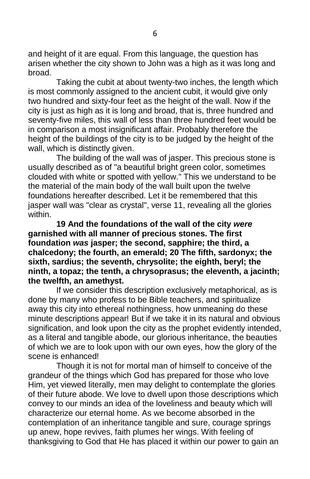and height of it are equal. From this language, the question has arisen whether the city shown to John was a high as it was long and broad.

Taking the cubit at about twenty-two inches, the length which is most commonly assigned to the ancient cubit, it would give only two hundred and sixty-four feet as the height of the wall. Now if the city is just as high as it is long and broad, that is, three hundred and seventy-five miles, this wall of less than three hundred feet would be in comparison a most insignificant affair. Probably therefore the height of the buildings of the city is to be judged by the height of the wall, which is distinctly given.

The building of the wall was of jasper. This precious stone is usually described as of "a beautiful bright green color, sometimes clouded with white or spotted with yellow." This we understand to be the material of the main body of the wall built upon the twelve foundations hereafter described. Let it be remembered that this jasper wall was "clear as crystal", verse 11, revealing all the glories within.

**19 And the foundations of the wall of the city** *were* **garnished with all manner of precious stones. The first foundation** *was* **jasper; the second, sapphire; the third, a chalcedony; the fourth, an emerald; 20 The fifth, sardonyx; the sixth, sardius; the seventh, chrysolite; the eighth, beryl; the ninth, a topaz; the tenth, a chrysoprasus; the eleventh, a jacinth; the twelfth, an amethyst.**

If we consider this description exclusively metaphorical, as is done by many who profess to be Bible teachers, and spiritualize away this city into ethereal nothingness, how unmeaning do these minute descriptions appear! But if we take it in its natural and obvious signification, and look upon the city as the prophet evidently intended, as a literal and tangible abode, our glorious inheritance, the beauties of which we are to look upon with our own eyes, how the glory of the scene is enhanced!

Though it is not for mortal man of himself to conceive of the grandeur of the things which God has prepared for those who love Him, yet viewed literally, men may delight to contemplate the glories of their future abode. We love to dwell upon those descriptions which convey to our minds an idea of the loveliness and beauty which will characterize our eternal home. As we become absorbed in the contemplation of an inheritance tangible and sure, courage springs up anew, hope revives, faith plumes her wings. With feeling of thanksgiving to God that He has placed it within our power to gain an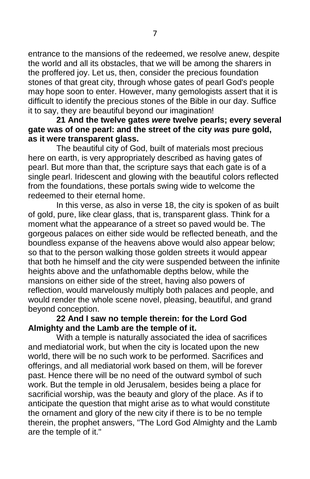entrance to the mansions of the redeemed, we resolve anew, despite the world and all its obstacles, that we will be among the sharers in the proffered joy. Let us, then, consider the precious foundation stones of that great city, through whose gates of pearl God's people may hope soon to enter. However, many gemologists assert that it is difficult to identify the precious stones of the Bible in our day. Suffice it to say, they are beautiful beyond our imagination!

#### **21 And the twelve gates** *were* **twelve pearls; every several gate was of one pearl: and the street of the city** *was* **pure gold, as it were transparent glass.**

The beautiful city of God, built of materials most precious here on earth, is very appropriately described as having gates of pearl. But more than that, the scripture says that each gate is of a single pearl. Iridescent and glowing with the beautiful colors reflected from the foundations, these portals swing wide to welcome the redeemed to their eternal home.

In this verse, as also in verse 18, the city is spoken of as built of gold, pure, like clear glass, that is, transparent glass. Think for a moment what the appearance of a street so paved would be. The gorgeous palaces on either side would be reflected beneath, and the boundless expanse of the heavens above would also appear below; so that to the person walking those golden streets it would appear that both he himself and the city were suspended between the infinite heights above and the unfathomable depths below, while the mansions on either side of the street, having also powers of reflection, would marvelously multiply both palaces and people, and would render the whole scene novel, pleasing, beautiful, and grand beyond conception.

#### **22 And I saw no temple therein: for the Lord God Almighty and the Lamb are the temple of it.**

With a temple is naturally associated the idea of sacrifices and mediatorial work, but when the city is located upon the new world, there will be no such work to be performed. Sacrifices and offerings, and all mediatorial work based on them, will be forever past. Hence there will be no need of the outward symbol of such work. But the temple in old Jerusalem, besides being a place for sacrificial worship, was the beauty and glory of the place. As if to anticipate the question that might arise as to what would constitute the ornament and glory of the new city if there is to be no temple therein, the prophet answers, "The Lord God Almighty and the Lamb are the temple of it."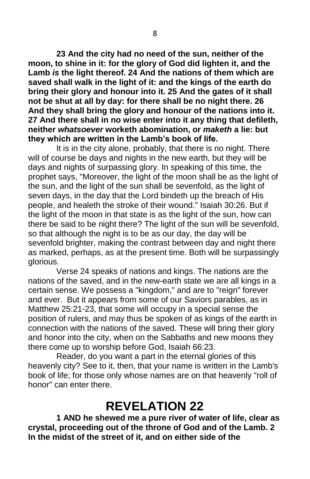**23 And the city had no need of the sun, neither of the moon, to shine in it: for the glory of God did lighten it, and the Lamb** *is* **the light thereof. 24 And the nations of them which are saved shall walk in the light of it: and the kings of the earth do bring their glory and honour into it. 25 And the gates of it shall not be shut at all by day: for there shall be no night there. 26 And they shall bring the glory and honour of the nations into it. 27 And there shall in no wise enter into it any thing that defileth, neither** *whatsoever* **worketh abomination, or** *maketh* **a lie: but they which are written in the Lamb's book of life.**

It is in the city alone, probably, that there is no night. There will of course be days and nights in the new earth, but they will be days and nights of surpassing glory. In speaking of this time, the prophet says, "Moreover, the light of the moon shall be as the light of the sun, and the light of the sun shall be sevenfold, as the light of seven days, in the day that the Lord bindeth up the breach of His people, and healeth the stroke of their wound." Isaiah 30:26. But if the light of the moon in that state is as the light of the sun, how can there be said to be night there? The light of the sun will be sevenfold, so that although the night is to be as our day, the day will be sevenfold brighter, making the contrast between day and night there as marked, perhaps, as at the present time. Both will be surpassingly glorious.

Verse 24 speaks of nations and kings. The nations are the nations of the saved, and in the new-earth state we are all kings in a certain sense. We possess a "kingdom," and are to "reign" forever and ever. But it appears from some of our Saviors parables, as in Matthew 25:21-23, that some will occupy in a special sense the position of rulers, and may thus be spoken of as kings of the earth in connection with the nations of the saved. These will bring their glory and honor into the city, when on the Sabbaths and new moons they there come up to worship before God, Isaiah 66:23.

Reader, do you want a part in the eternal glories of this heavenly city? See to it, then, that your name is written in the Lamb's book of life; for those only whose names are on that heavenly "roll of honor" can enter there.

# **REVELATION 22**

**1 AND he shewed me a pure river of water of life, clear as crystal, proceeding out of the throne of God and of the Lamb. 2 In the midst of the street of it, and on either side of the**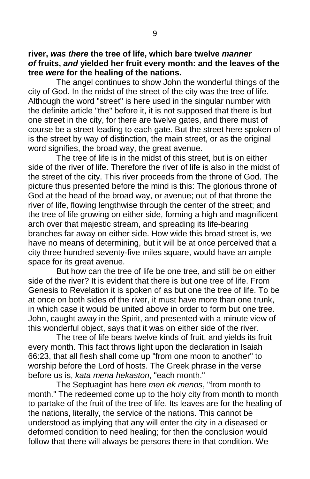**river,** *was there* **the tree of life, which bare twelve** *manner of* **fruits,** *and* **yielded her fruit every month: and the leaves of the tree** *were* **for the healing of the nations.**

The angel continues to show John the wonderful things of the city of God. In the midst of the street of the city was the tree of life. Although the word "street" is here used in the singular number with the definite article "the" before it, it is not supposed that there is but one street in the city, for there are twelve gates, and there must of course be a street leading to each gate. But the street here spoken of is the street by way of distinction, the main street, or as the original word signifies, the broad way, the great avenue.

The tree of life is in the midst of this street, but is on either side of the river of life. Therefore the river of life is also in the midst of the street of the city. This river proceeds from the throne of God. The picture thus presented before the mind is this: The glorious throne of God at the head of the broad way, or avenue; out of that throne the river of life, flowing lengthwise through the center of the street; and the tree of life growing on either side, forming a high and magnificent arch over that majestic stream, and spreading its life-bearing branches far away on either side. How wide this broad street is, we have no means of determining, but it will be at once perceived that a city three hundred seventy-five miles square, would have an ample space for its great avenue.

But how can the tree of life be one tree, and still be on either side of the river? It is evident that there is but one tree of life. From Genesis to Revelation it is spoken of as but one the tree of life. To be at once on both sides of the river, it must have more than one trunk, in which case it would be united above in order to form but one tree. John, caught away in the Spirit, and presented with a minute view of this wonderful object, says that it was on either side of the river.

The tree of life bears twelve kinds of fruit, and yields its fruit every month. This fact throws light upon the declaration in Isaiah 66:23, that all flesh shall come up "from one moon to another" to worship before the Lord of hosts. The Greek phrase in the verse before us is, *kata mena hekaston*, "each month."

The Septuagint has here *men ek menos*, "from month to month." The redeemed come up to the holy city from month to month to partake of the fruit of the tree of life. Its leaves are for the healing of the nations, literally, the service of the nations. This cannot be understood as implying that any will enter the city in a diseased or deformed condition to need healing; for then the conclusion would follow that there will always be persons there in that condition. We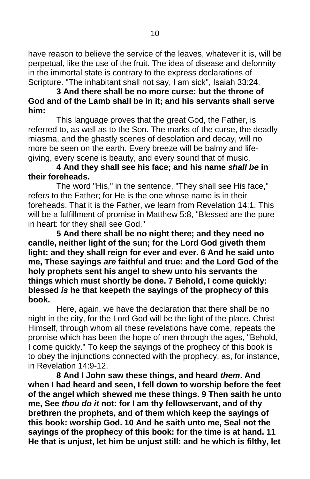have reason to believe the service of the leaves, whatever it is, will be perpetual, like the use of the fruit. The idea of disease and deformity in the immortal state is contrary to the express declarations of Scripture. "The inhabitant shall not say, I am sick", Isaiah 33:24.

#### **3 And there shall be no more curse: but the throne of God and of the Lamb shall be in it; and his servants shall serve him:**

This language proves that the great God, the Father, is referred to, as well as to the Son. The marks of the curse, the deadly miasma, and the ghastly scenes of desolation and decay, will no more be seen on the earth. Every breeze will be balmy and lifegiving, every scene is beauty, and every sound that of music.

#### **4 And they shall see his face; and his name** *shall be* **in their foreheads.**

The word "His," in the sentence, "They shall see His face," refers to the Father; for He is the one whose name is in their foreheads. That it is the Father, we learn from Revelation 14:1. This will be a fulfillment of promise in Matthew 5:8, "Blessed are the pure in heart: for they shall see God."

**5 And there shall be no night there; and they need no candle, neither light of the sun; for the Lord God giveth them light: and they shall reign for ever and ever. 6 And he said unto me, These sayings** *are* **faithful and true: and the Lord God of the holy prophets sent his angel to shew unto his servants the things which must shortly be done. 7 Behold, I come quickly: blessed** *is* **he that keepeth the sayings of the prophecy of this book.**

Here, again, we have the declaration that there shall be no night in the city, for the Lord God will be the light of the place. Christ Himself, through whom all these revelations have come, repeats the promise which has been the hope of men through the ages, "Behold, I come quickly." To keep the sayings of the prophecy of this book is to obey the injunctions connected with the prophecy, as, for instance, in Revelation 14:9-12.

**8 And I John saw these things, and heard** *them***. And when I had heard and seen, I fell down to worship before the feet of the angel which shewed me these things. 9 Then saith he unto me, See** *thou do it* **not: for I am thy fellowservant, and of thy brethren the prophets, and of them which keep the sayings of this book: worship God. 10 And he saith unto me, Seal not the sayings of the prophecy of this book: for the time is at hand. 11 He that is unjust, let him be unjust still: and he which is filthy, let**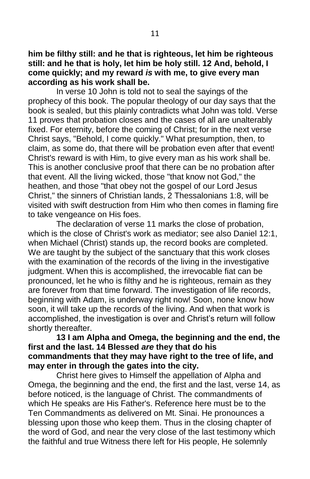**him be filthy still: and he that is righteous, let him be righteous still: and he that is holy, let him be holy still. 12 And, behold, I come quickly; and my reward** *is* **with me, to give every man according as his work shall be.** 

In verse 10 John is told not to seal the sayings of the prophecy of this book. The popular theology of our day says that the book is sealed, but this plainly contradicts what John was told. Verse 11 proves that probation closes and the cases of all are unalterably fixed. For eternity, before the coming of Christ; for in the next verse Christ says, "Behold, I come quickly." What presumption, then, to claim, as some do, that there will be probation even after that event! Christ's reward is with Him, to give every man as his work shall be. This is another conclusive proof that there can be no probation after that event. All the living wicked, those "that know not God," the heathen, and those "that obey not the gospel of our Lord Jesus Christ," the sinners of Christian lands, 2 Thessalonians 1:8, will be visited with swift destruction from Him who then comes in flaming fire to take vengeance on His foes.

The declaration of verse 11 marks the close of probation, which is the close of Christ's work as mediator; see also Daniel 12:1, when Michael (Christ) stands up, the record books are completed. We are taught by the subject of the sanctuary that this work closes with the examination of the records of the living in the investigative judgment. When this is accomplished, the irrevocable fiat can be pronounced, let he who is filthy and he is righteous, remain as they are forever from that time forward. The investigation of life records, beginning with Adam, is underway right now! Soon, none know how soon, it will take up the records of the living. And when that work is accomplished, the investigation is over and Christ's return will follow shortly thereafter.

#### **13 I am Alpha and Omega, the beginning and the end, the first and the last. 14 Blessed** *are* **they that do his commandments that they may have right to the tree of life, and may enter in through the gates into the city.**

Christ here gives to Himself the appellation of Alpha and Omega, the beginning and the end, the first and the last, verse 14, as before noticed, is the language of Christ. The commandments of which He speaks are His Father's. Reference here must be to the Ten Commandments as delivered on Mt. Sinai. He pronounces a blessing upon those who keep them. Thus in the closing chapter of the word of God, and near the very close of the last testimony which the faithful and true Witness there left for His people, He solemnly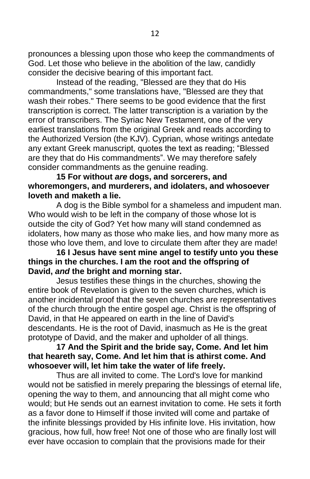pronounces a blessing upon those who keep the commandments of God. Let those who believe in the abolition of the law, candidly consider the decisive bearing of this important fact.

Instead of the reading, "Blessed are they that do His commandments," some translations have, "Blessed are they that wash their robes." There seems to be good evidence that the first transcription is correct. The latter transcription is a variation by the error of transcribers. The Syriac New Testament, one of the very earliest translations from the original Greek and reads according to the Authorized Version (the KJV). Cyprian, whose writings antedate any extant Greek manuscript, quotes the text as reading; "Blessed are they that do His commandments". We may therefore safely consider commandments as the genuine reading.

#### **15 For without** *are* **dogs, and sorcerers, and whoremongers, and murderers, and idolaters, and whosoever loveth and maketh a lie.**

A dog is the Bible symbol for a shameless and impudent man. Who would wish to be left in the company of those whose lot is outside the city of God? Yet how many will stand condemned as idolaters, how many as those who make lies, and how many more as those who love them, and love to circulate them after they are made!

#### **16 I Jesus have sent mine angel to testify unto you these things in the churches. I am the root and the offspring of David,** *and* **the bright and morning star.**

Jesus testifies these things in the churches, showing the entire book of Revelation is given to the seven churches, which is another incidental proof that the seven churches are representatives of the church through the entire gospel age. Christ is the offspring of David, in that He appeared on earth in the line of David's descendants. He is the root of David, inasmuch as He is the great prototype of David, and the maker and upholder of all things.

#### **17 And the Spirit and the bride say, Come. And let him that heareth say, Come. And let him that is athirst come. And whosoever will, let him take the water of life freely.**

Thus are all invited to come. The Lord's love for mankind would not be satisfied in merely preparing the blessings of eternal life, opening the way to them, and announcing that all might come who would; but He sends out an earnest invitation to come. He sets it forth as a favor done to Himself if those invited will come and partake of the infinite blessings provided by His infinite love. His invitation, how gracious, how full, how free! Not one of those who are finally lost will ever have occasion to complain that the provisions made for their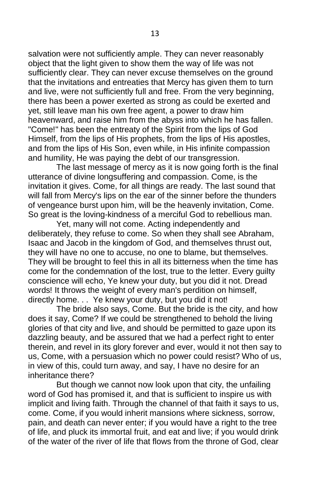salvation were not sufficiently ample. They can never reasonably object that the light given to show them the way of life was not sufficiently clear. They can never excuse themselves on the ground that the invitations and entreaties that Mercy has given them to turn and live, were not sufficiently full and free. From the very beginning, there has been a power exerted as strong as could be exerted and yet, still leave man his own free agent, a power to draw him heavenward, and raise him from the abyss into which he has fallen. "Come!" has been the entreaty of the Spirit from the lips of God Himself, from the lips of His prophets, from the lips of His apostles, and from the lips of His Son, even while, in His infinite compassion and humility, He was paying the debt of our transgression.

The last message of mercy as it is now going forth is the final utterance of divine longsuffering and compassion. Come, is the invitation it gives. Come, for all things are ready. The last sound that will fall from Mercy's lips on the ear of the sinner before the thunders of vengeance burst upon him, will be the heavenly invitation, Come. So great is the loving-kindness of a merciful God to rebellious man.

Yet, many will not come. Acting independently and deliberately, they refuse to come. So when they shall see Abraham, Isaac and Jacob in the kingdom of God, and themselves thrust out, they will have no one to accuse, no one to blame, but themselves. They will be brought to feel this in all its bitterness when the time has come for the condemnation of the lost, true to the letter. Every guilty conscience will echo, Ye knew your duty, but you did it not. Dread words! It throws the weight of every man's perdition on himself, directly home. . . Ye knew your duty, but you did it not!

The bride also says, Come. But the bride is the city, and how does it say, Come? If we could be strengthened to behold the living glories of that city and live, and should be permitted to gaze upon its dazzling beauty, and be assured that we had a perfect right to enter therein, and revel in its glory forever and ever, would it not then say to us, Come, with a persuasion which no power could resist? Who of us, in view of this, could turn away, and say, I have no desire for an inheritance there?

But though we cannot now look upon that city, the unfailing word of God has promised it, and that is sufficient to inspire us with implicit and living faith. Through the channel of that faith it says to us, come. Come, if you would inherit mansions where sickness, sorrow, pain, and death can never enter; if you would have a right to the tree of life, and pluck its immortal fruit, and eat and live; if you would drink of the water of the river of life that flows from the throne of God, clear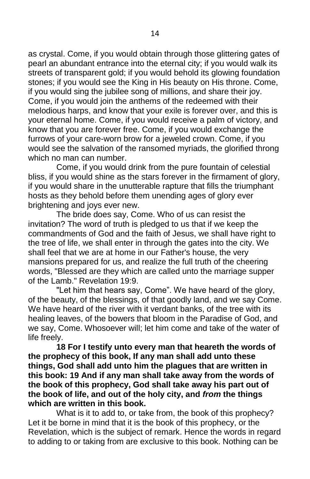as crystal. Come, if you would obtain through those glittering gates of pearl an abundant entrance into the eternal city; if you would walk its streets of transparent gold; if you would behold its glowing foundation stones; if you would see the King in His beauty on His throne. Come, if you would sing the jubilee song of millions, and share their joy. Come, if you would join the anthems of the redeemed with their melodious harps, and know that your exile is forever over, and this is your eternal home. Come, if you would receive a palm of victory, and know that you are forever free. Come, if you would exchange the furrows of your care-worn brow for a jeweled crown. Come, if you would see the salvation of the ransomed myriads, the glorified throng which no man can number.

Come, if you would drink from the pure fountain of celestial bliss, if you would shine as the stars forever in the firmament of glory, if you would share in the unutterable rapture that fills the triumphant hosts as they behold before them unending ages of glory ever brightening and joys ever new.

The bride does say, Come. Who of us can resist the invitation? The word of truth is pledged to us that if we keep the commandments of God and the faith of Jesus, we shall have right to the tree of life, we shall enter in through the gates into the city. We shall feel that we are at home in our Father's house, the very mansions prepared for us, and realize the full truth of the cheering words, "Blessed are they which are called unto the marriage supper of the Lamb." Revelation 19:9.

"Let him that hears say, Come". We have heard of the glory, of the beauty, of the blessings, of that goodly land, and we say Come. We have heard of the river with it verdant banks, of the tree with its healing leaves, of the bowers that bloom in the Paradise of God, and we say, Come. Whosoever will; let him come and take of the water of life freely.

**18 For I testify unto every man that heareth the words of the prophecy of this book, If any man shall add unto these things, God shall add unto him the plagues that are written in this book: 19 And if any man shall take away from the words of the book of this prophecy, God shall take away his part out of the book of life, and out of the holy city, and** *from* **the things which are written in this book.** 

What is it to add to, or take from, the book of this prophecy? Let it be borne in mind that it is the book of this prophecy, or the Revelation, which is the subject of remark. Hence the words in regard to adding to or taking from are exclusive to this book. Nothing can be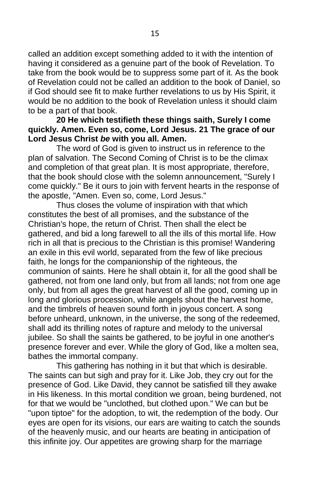called an addition except something added to it with the intention of having it considered as a genuine part of the book of Revelation. To take from the book would be to suppress some part of it. As the book of Revelation could not be called an addition to the book of Daniel, so if God should see fit to make further revelations to us by His Spirit, it would be no addition to the book of Revelation unless it should claim to be a part of that book.

#### **20 He which testifieth these things saith, Surely I come quickly. Amen. Even so, come, Lord Jesus. 21 The grace of our Lord Jesus Christ** *be* **with you all. Amen.**

The word of God is given to instruct us in reference to the plan of salvation. The Second Coming of Christ is to be the climax and completion of that great plan. It is most appropriate, therefore, that the book should close with the solemn announcement, "Surely I come quickly." Be it ours to join with fervent hearts in the response of the apostle, "Amen. Even so, come, Lord Jesus."

Thus closes the volume of inspiration with that which constitutes the best of all promises, and the substance of the Christian's hope, the return of Christ. Then shall the elect be gathered, and bid a long farewell to all the ills of this mortal life. How rich in all that is precious to the Christian is this promise! Wandering an exile in this evil world, separated from the few of like precious faith, he longs for the companionship of the righteous, the communion of saints. Here he shall obtain it, for all the good shall be gathered, not from one land only, but from all lands; not from one age only, but from all ages the great harvest of all the good, coming up in long and glorious procession, while angels shout the harvest home, and the timbrels of heaven sound forth in joyous concert. A song before unheard, unknown, in the universe, the song of the redeemed, shall add its thrilling notes of rapture and melody to the universal jubilee. So shall the saints be gathered, to be joyful in one another's presence forever and ever. While the glory of God, like a molten sea, bathes the immortal company.

This gathering has nothing in it but that which is desirable. The saints can but sigh and pray for it. Like Job, they cry out for the presence of God. Like David, they cannot be satisfied till they awake in His likeness. In this mortal condition we groan, being burdened, not for that we would be "unclothed, but clothed upon." We can but be "upon tiptoe" for the adoption, to wit, the redemption of the body. Our eyes are open for its visions, our ears are waiting to catch the sounds of the heavenly music, and our hearts are beating in anticipation of this infinite joy. Our appetites are growing sharp for the marriage